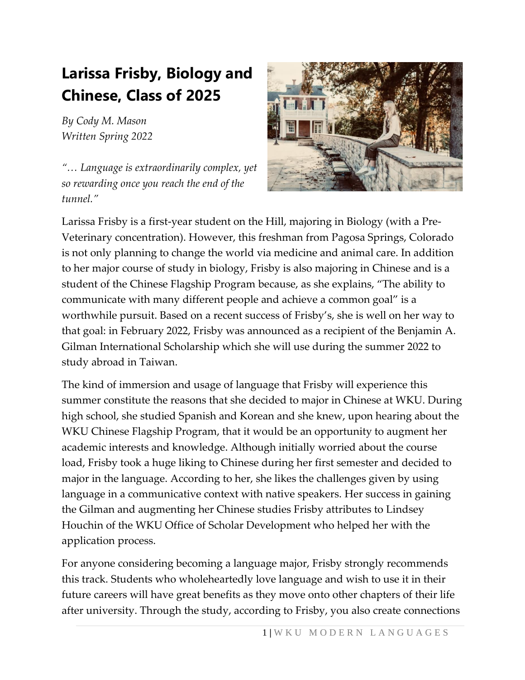## **Larissa Frisby, Biology and Chinese, Class of 2025**

*By Cody M. Mason Written Spring 2022*

*"… Language is extraordinarily complex, yet so rewarding once you reach the end of the tunnel."*



Larissa Frisby is a first-year student on the Hill, majoring in Biology (with a Pre-Veterinary concentration). However, this freshman from Pagosa Springs, Colorado is not only planning to change the world via medicine and animal care. In addition to her major course of study in biology, Frisby is also majoring in Chinese and is a student of the Chinese Flagship Program because, as she explains, "The ability to communicate with many different people and achieve a common goal" is a worthwhile pursuit. Based on a recent success of Frisby's, she is well on her way to that goal: in February 2022, Frisby was announced as a recipient of the Benjamin A. Gilman International Scholarship which she will use during the summer 2022 to study abroad in Taiwan.

The kind of immersion and usage of language that Frisby will experience this summer constitute the reasons that she decided to major in Chinese at WKU. During high school, she studied Spanish and Korean and she knew, upon hearing about the WKU Chinese Flagship Program, that it would be an opportunity to augment her academic interests and knowledge. Although initially worried about the course load, Frisby took a huge liking to Chinese during her first semester and decided to major in the language. According to her, she likes the challenges given by using language in a communicative context with native speakers. Her success in gaining the Gilman and augmenting her Chinese studies Frisby attributes to Lindsey Houchin of the WKU Office of Scholar Development who helped her with the application process.

For anyone considering becoming a language major, Frisby strongly recommends this track. Students who wholeheartedly love language and wish to use it in their future careers will have great benefits as they move onto other chapters of their life after university. Through the study, according to Frisby, you also create connections